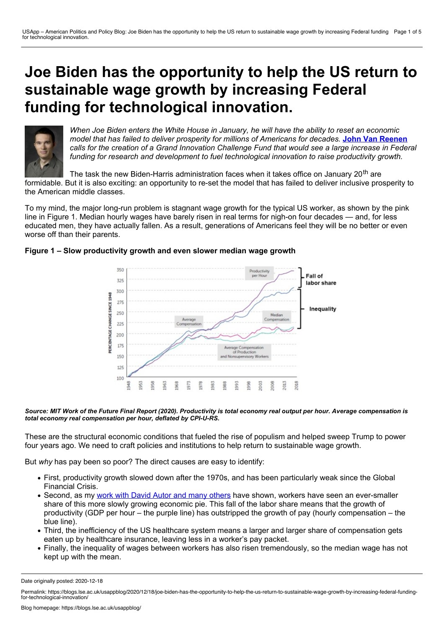# **Joe Biden has the opportunity to help the US return to sustainable wage growth by increasing Federal funding for technological innovation.**



*When Joe Biden enters the White House in January, he will have the ability to reset an economic model that has failed to deliver prosperity for millions of Americans for decades.* **John Van [Reenen](https://wp.me/p3I2YF-aB1#Author)** calls for the creation of a Grand Innovation Challenge Fund that would see a large increase in Federal *funding for research and development to fuel technological innovation to raise productivity growth.*

The task the new Biden-Harris administration faces when it takes office on January 20<sup>th</sup> are formidable. But it is also exciting: an opportunity to re-set the model that has failed to deliver inclusive prosperity to the American middle classes.

To my mind, the major long-run problem is stagnant wage growth for the typical US worker, as shown by the pink line in Figure 1. Median hourly wages have barely risen in real terms for nigh-on four decades — and, for less educated men, they have actually fallen. As a result, generations of Americans feel they will be no better or even worse off than their parents.





Source: MIT Work of the Future Final Report (2020). Productivity is total economy real output per hour. Average compensation is *total economy real compensation per hour, deflated by CPI-U-RS.*

These are the structural economic conditions that fueled the rise of populism and helped sweep Trump to power four years ago. We need to craft policies and institutions to help return to sustainable wage growth.

But *why* has pay been so poor? The direct causes are easy to identify:

- First, productivity growth slowed down after the 1970s, and has been particularly weak since the Global Financial Crisis.
- Second, as my work with David Autor and many [others](https://economics.mit.edu/files/12979) have shown, workers have seen an ever-smaller share of this more slowly growing economic pie. This fall of the labor share means that the growth of productivity (GDP per hour – the purple line) has outstripped the growth of pay (hourly compensation – the blue line).
- Third, the inefficiency of the US healthcare system means a larger and larger share of compensation gets eaten up by healthcare insurance, leaving less in a worker's pay packet.
- Finally, the inequality of wages between workers has also risen tremendously, so the median wage has not kept up with the mean.

Date originally posted: 2020-12-18

Permalink: https://blogs.lse.ac.uk/usappblog/2020/12/18/joe-biden-has-the-opportunity-to-help-the-us-return-to-sustainable-wage-growth-by-increasing-federal-fundingfor-technological-innovation/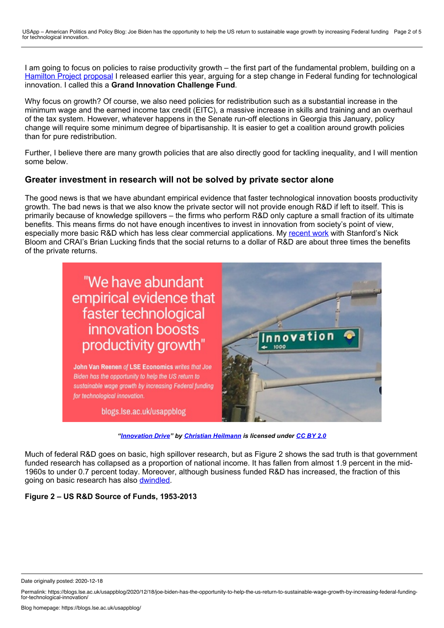I am going to focus on policies to raise productivity growth – the first part of the fundamental problem, building on a [Hamilton](https://www.hamiltonproject.org/) Project [proposal](https://www.hamiltonproject.org/papers/innovation_policies_to_boost_productivity) I released earlier this year, arguing for a step change in Federal funding for technological innovation. I called this a **Grand Innovation Challenge Fund**.

Why focus on growth? Of course, we also need policies for redistribution such as a substantial increase in the minimum wage and the earned income tax credit (EITC), a massive increase in skills and training and an overhaul of the tax system. However, whatever happens in the Senate run-off elections in Georgia this January, policy change will require some minimum degree of bipartisanship. It is easier to get a coalition around growth policies than for pure redistribution.

Further, I believe there are many growth policies that are also directly good for tackling inequality, and I will mention some below.

# **Greater investment in research will not be solved by private sector alone**

The good news is that we have abundant empirical evidence that faster technological innovation boosts productivity growth. The bad news is that we also know the private sector will not provide enough R&D if left to itself. This is primarily because of knowledge spillovers – the firms who perform R&D only capture a small fraction of its ultimate benefits. This means firms do not have enough incentives to invest in innovation from society's point of view, especially more basic R&D which has less clear commercial applications. My [recent](https://www.nber.org/papers/w24622) work with Stanford's Nick Bloom and CRAI's Brian Lucking finds that the social returns to a dollar of R&D are about three times the benefits of the private returns.



*"[Innovation](https://www.flickr.com/photos/codepo8/5188441438/) Drive" by Christian [Heilmann](https://www.flickr.com/photos/codepo8/) is licensed under [CC](https://www.flickr.com/photos/codepo8/5188441438/) BY 2.0*

Much of federal R&D goes on basic, high spillover research, but as Figure 2 shows the sad truth is that government funded research has collapsed as a proportion of national income. It has fallen from almost 1.9 percent in the mid- 1960s to under 0.7 percent today. Moreover, although business funded R&D has increased, the fraction of this going on basic research has also [dwindled.](https://onlinelibrary.wiley.com/doi/abs/10.1002/smj.2693)

### **Figure 2 – US R&D Source of Funds, 1953-2013**

Date originally posted: 2020-12-18

Permalink: https://blogs.lse.ac.uk/usappblog/2020/12/18/joe-biden-has-the-opportunity-to-help-the-us-return-to-sustainable-wage-growth-by-increasing-federal-fundingfor-technological-innovation/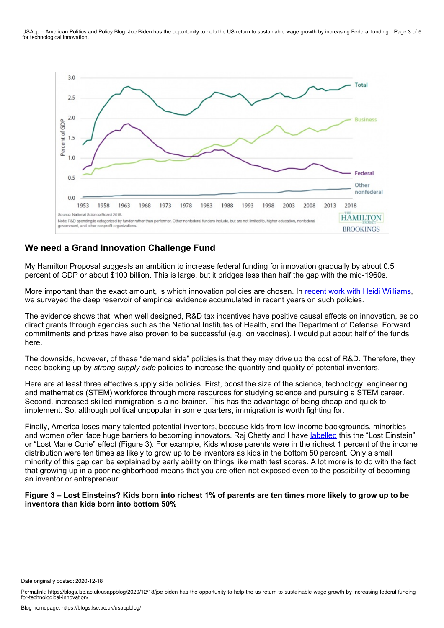

# **We need a Grand Innovation Challenge Fund**

My Hamilton Proposal suggests an ambition to increase federal funding for innovation gradually by about 0.5 percent of GDP or about \$100 billion. This is large, but it bridges less than half the gap with the mid-1960s.

More important than the exact amount, is which innovation policies are chosen. In recent work with Heidi [Williams,](https://www.aeaweb.org/articles?id=10.1257/jep.33.3.163) we surveyed the deep reservoir of empirical evidence accumulated in recent years on such policies.

The evidence shows that, when well designed, R&D tax incentives have positive causal effects on innovation, as do direct grants through agencies such as the National Institutes of Health, and the Department of Defense. Forward commitments and prizes have also proven to be successful (e.g. on vaccines). I would put about half of the funds here.

The downside, however, of these "demand side" policies is that they may drive up the cost of R&D. Therefore, they need backing up by *strong supply side* policies to increase the quantity and quality of potential inventors.

Here are at least three effective supply side policies. First, boost the size of the science, technology, engineering and mathematics (STEM) workforce through more resources for studying science and pursuing a STEM career. Second, increased skilled immigration is a no-brainer. This has the advantage of being cheap and quick to implement. So, although political unpopular in some quarters, immigration is worth fighting for.

Finally, America loses many talented potential inventors, because kids from low-income backgrounds, minorities and women often face huge barriers to becoming innovators. Raj Chetty and I have [labelled](https://mitsloan.mit.edu/ideas-made-to-matter/lost-einsteins-us-may-have-missed-out-millions-inventors) this the "Lost Einstein" or "Lost Marie Curie" effect (Figure 3). For example, Kids whose parents were in the richest 1 percent of the income distribution were ten times as likely to grow up to be inventors as kids in the bottom 50 percent. Only a small minority of this gap can be explained by early ability on things like math test scores. A lot more is to do with the fact that growing up in a poor neighborhood means that you are often not exposed even to the possibility of becoming an inventor or entrepreneur.

#### Figure 3 – Lost Einsteins? Kids born into richest 1% of parents are ten times more likely to grow up to be **inventors than kids born into bottom 50%**

Date originally posted: 2020-12-18

Permalink: https://blogs.lse.ac.uk/usappblog/2020/12/18/joe-biden-has-the-opportunity-to-help-the-us-return-to-sustainable-wage-growth-by-increasing-federal-fundingfor-technological-innovation/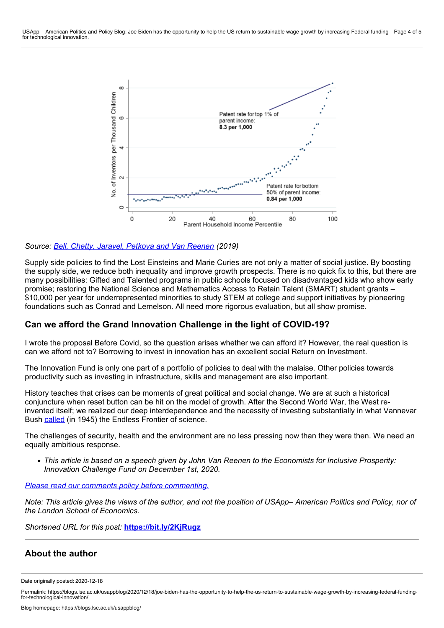

## *Source: Bell, Chetty, Jaravel, [Petkova](https://www.nber.org/papers/w24062) and Van Reenen (2019)*

Supply side policies to find the Lost Einsteins and Marie Curies are not only a matter of social justice. By boosting the supply side, we reduce both inequality and improve growth prospects. There is no quick fix to this, but there are many possibilities: Gifted and Talented programs in public schools focused on disadvantaged kids who show early promise; restoring the National Science and Mathematics Access to Retain Talent (SMART) student grants – \$10,000 per year for underrepresented minorities to study STEM at college and support initiatives by pioneering foundations such as Conrad and Lemelson. All need more rigorous evaluation, but all show promise.

## **Can we afford the Grand Innovation Challenge in the light of COVID-19?**

I wrote the proposal Before Covid, so the question arises whether we can afford it? However, the real question is can we afford not to? Borrowing to invest in innovation has an excellent social Return on Investment.

The Innovation Fund is only one part of a portfolio of policies to deal with the malaise. Other policies towards productivity such as investing in infrastructure, skills and management are also important.

History teaches that crises can be moments of great political and social change. We are at such a historical conjuncture when reset button can be hit on the model of growth. After the Second World War, the West reinvented itself; we realized our deep interdependence and the necessity of investing substantially in what Vannevar Bush [called](https://www.nsf.gov/od/lpa/nsf50/vbush1945.htm) (in 1945) the Endless Frontier of science.

The challenges of security, health and the environment are no less pressing now than they were then. We need an equally ambitious response.

• This article is based on a speech given by John Van Reenen to the Economists for Inclusive Prosperity: *Innovation Challenge Fund on December 1st, 2020.*

*Please read our comments policy before [commenting.](http://blogs.lse.ac.uk/usappblog/comments-policy/)*

Note: This article gives the views of the author, and not the position of USApp– American Politics and Policy, nor of *the London School of Economics.*

*Shortened URL for this post:* **<https://bit.ly/2KjRugz>**

## **About the author**

Date originally posted: 2020-12-18

Permalink: https://blogs.lse.ac.uk/usappblog/2020/12/18/joe-biden-has-the-opportunity-to-help-the-us-return-to-sustainable-wage-growth-by-increasing-federal-fundingfor-technological-innovation/